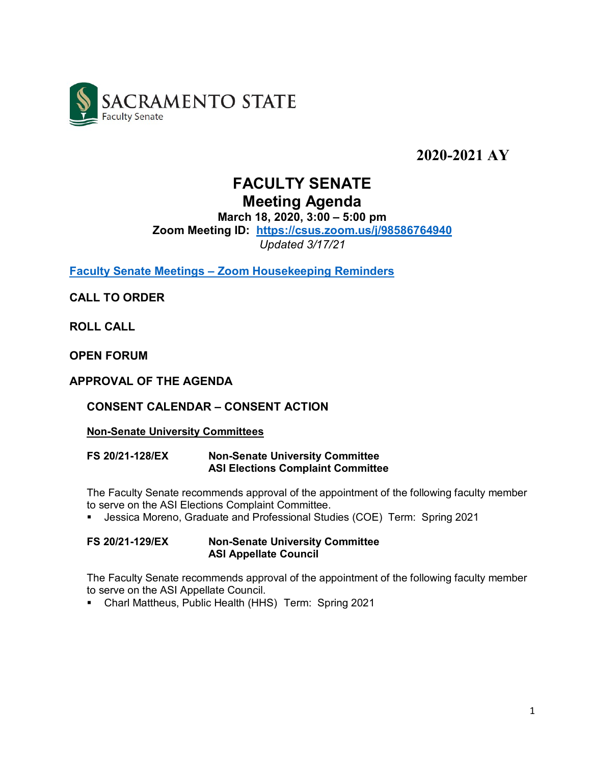

**2020-2021 AY**

# **FACULTY SENATE Meeting Agenda**

**March 18, 2020, 3:00 – 5:00 pm** 

**Zoom Meeting ID: <https://csus.zoom.us/j/98586764940>**

*Updated 3/17/21*

**Faculty Senate Meetings – [Zoom Housekeeping Reminders](https://www.csus.edu/academic-affairs/senate/senate-info/20-21senate/_documents/20-21senate-housekeeping-reminders.pdf)**

**CALL TO ORDER**

**ROLL CALL**

**OPEN FORUM**

**APPROVAL OF THE AGENDA**

# **CONSENT CALENDAR – CONSENT ACTION**

#### **Non-Senate University Committees**

**FS 20/21-128/EX Non-Senate University Committee ASI Elections Complaint Committee**

The Faculty Senate recommends approval of the appointment of the following faculty member to serve on the ASI Elections Complaint Committee.

**Jessica Moreno, Graduate and Professional Studies (COE) Term: Spring 2021** 

**FS 20/21-129/EX Non-Senate University Committee ASI Appellate Council**

The Faculty Senate recommends approval of the appointment of the following faculty member to serve on the ASI Appellate Council.

Charl Mattheus, Public Health (HHS) Term: Spring 2021